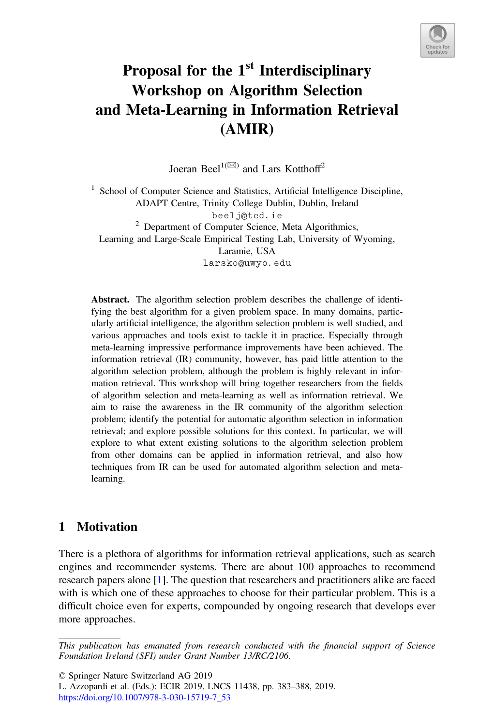

# Proposal for the 1<sup>st</sup> Interdisciplinary Workshop on Algorithm Selection and Meta-Learning in Information Retrieval (AMIR)

Joeran Beel<sup>1( $\boxtimes$ )</sup> and Lars Kotthoff<sup>2</sup>

<sup>1</sup> School of Computer Science and Statistics, Artificial Intelligence Discipline, ADAPT Centre, Trinity College Dublin, Dublin, Ireland beelj@tcd.ie <sup>2</sup> Department of Computer Science, Meta Algorithmics, Learning and Large-Scale Empirical Testing Lab, University of Wyoming, Laramie, USA larsko@uwyo.edu

Abstract. The algorithm selection problem describes the challenge of identifying the best algorithm for a given problem space. In many domains, particularly artificial intelligence, the algorithm selection problem is well studied, and various approaches and tools exist to tackle it in practice. Especially through meta-learning impressive performance improvements have been achieved. The information retrieval (IR) community, however, has paid little attention to the algorithm selection problem, although the problem is highly relevant in information retrieval. This workshop will bring together researchers from the fields of algorithm selection and meta-learning as well as information retrieval. We aim to raise the awareness in the IR community of the algorithm selection problem; identify the potential for automatic algorithm selection in information retrieval; and explore possible solutions for this context. In particular, we will explore to what extent existing solutions to the algorithm selection problem from other domains can be applied in information retrieval, and also how techniques from IR can be used for automated algorithm selection and metalearning.

# 1 Motivation

There is a plethora of algorithms for information retrieval applications, such as search engines and recommender systems. There are about 100 approaches to recommend research papers alone [\[1](#page-4-0)]. The question that researchers and practitioners alike are faced with is which one of these approaches to choose for their particular problem. This is a difficult choice even for experts, compounded by ongoing research that develops ever more approaches.

This publication has emanated from research conducted with the financial support of Science Foundation Ireland (SFI) under Grant Number 13/RC/2106.

<sup>©</sup> Springer Nature Switzerland AG 2019

L. Azzopardi et al. (Eds.): ECIR 2019, LNCS 11438, pp. 383–388, 2019. [https://doi.org/10.1007/978-3-030-15719-7\\_53](https://doi.org/10.1007/978-3-030-15719-7_53)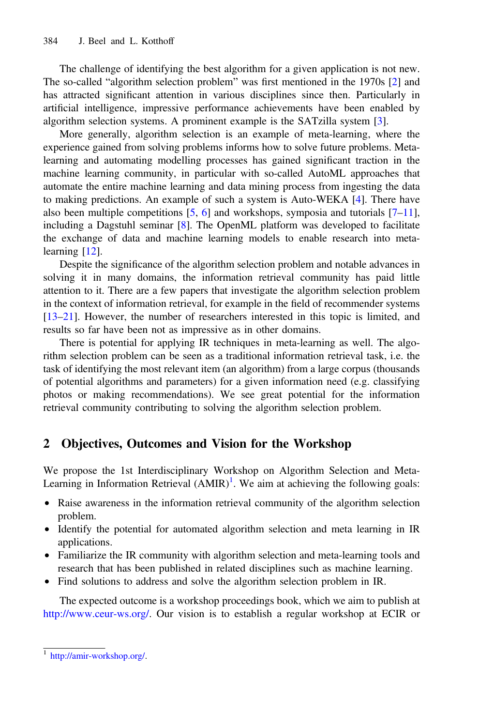The challenge of identifying the best algorithm for a given application is not new. The so-called "algorithm selection problem" was first mentioned in the 1970s [[2\]](#page-4-0) and has attracted significant attention in various disciplines since then. Particularly in artificial intelligence, impressive performance achievements have been enabled by algorithm selection systems. A prominent example is the SATzilla system [\[3](#page-4-0)].

More generally, algorithm selection is an example of meta-learning, where the experience gained from solving problems informs how to solve future problems. Metalearning and automating modelling processes has gained significant traction in the machine learning community, in particular with so-called AutoML approaches that automate the entire machine learning and data mining process from ingesting the data to making predictions. An example of such a system is Auto-WEKA [\[4](#page-4-0)]. There have also been multiple competitions  $[5, 6]$  $[5, 6]$  $[5, 6]$  $[5, 6]$  and workshops, symposia and tutorials  $[7-11]$  $[7-11]$  $[7-11]$  $[7-11]$ , including a Dagstuhl seminar [[8\]](#page-4-0). The OpenML platform was developed to facilitate the exchange of data and machine learning models to enable research into metalearning [[12\]](#page-4-0).

Despite the significance of the algorithm selection problem and notable advances in solving it in many domains, the information retrieval community has paid little attention to it. There are a few papers that investigate the algorithm selection problem in the context of information retrieval, for example in the field of recommender systems [[13](#page-4-0)–[21\]](#page-5-0). However, the number of researchers interested in this topic is limited, and results so far have been not as impressive as in other domains.

There is potential for applying IR techniques in meta-learning as well. The algorithm selection problem can be seen as a traditional information retrieval task, i.e. the task of identifying the most relevant item (an algorithm) from a large corpus (thousands of potential algorithms and parameters) for a given information need (e.g. classifying photos or making recommendations). We see great potential for the information retrieval community contributing to solving the algorithm selection problem.

## 2 Objectives, Outcomes and Vision for the Workshop

We propose the 1st Interdisciplinary Workshop on Algorithm Selection and Meta-Learning in Information Retrieval  $(AMIR)^1$ . We aim at achieving the following goals:

- Raise awareness in the information retrieval community of the algorithm selection problem.
- Identify the potential for automated algorithm selection and meta learning in IR applications.
- Familiarize the IR community with algorithm selection and meta-learning tools and research that has been published in related disciplines such as machine learning.
- Find solutions to address and solve the algorithm selection problem in IR.

The expected outcome is a workshop proceedings book, which we aim to publish at [http://www.ceur-ws.org/.](http://www.ceur-ws.org/) Our vision is to establish a regular workshop at ECIR or

<sup>1</sup> <http://amir-workshop.org/>.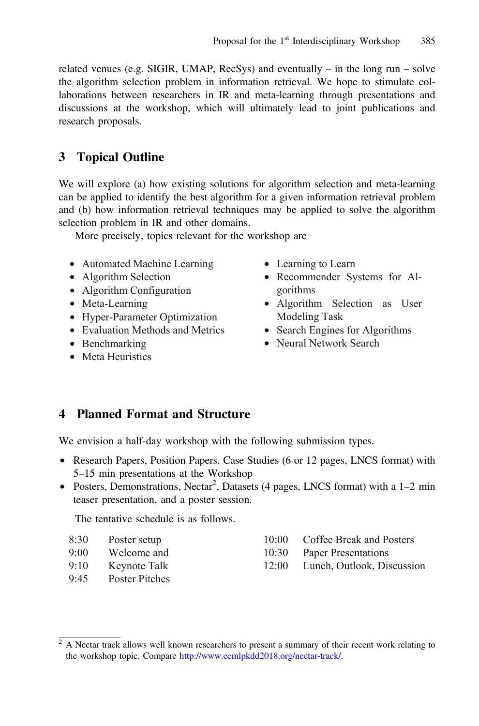related venues (e.g. SIGIR, UMAP, RecSys) and eventually – in the long run – solve the algorithm selection problem in information retrieval. We hope to stimulate collaborations between researchers in IR and meta-learning through presentations and discussions at the workshop, which will ultimately lead to joint publications and research proposals.

# 3 Topical Outline

We will explore (a) how existing solutions for algorithm selection and meta-learning can be applied to identify the best algorithm for a given information retrieval problem and (b) how information retrieval techniques may be applied to solve the algorithm selection problem in IR and other domains.

More precisely, topics relevant for the workshop are

- Automated Machine Learning
- Algorithm Selection
- Algorithm Configuration
- Meta-Learning
- Hyper-Parameter Optimization
- Evaluation Methods and Metrics
- Benchmarking
- Meta Heuristics
- Learning to Learn
- Recommender Systems for Algorithms
- Algorithm Selection as User Modeling Task
- Search Engines for Algorithms
- Neural Network Search

## 4 Planned Format and Structure

We envision a half-day workshop with the following submission types.

- Research Papers, Position Papers, Case Studies (6 or 12 pages, LNCS format) with 5–15 min presentations at the Workshop
- Posters, Demonstrations, Nectar<sup>2</sup>, Datasets (4 pages, LNCS format) with a 1-2 min teaser presentation, and a poster session.

The tentative schedule is as follows.

- 9:00 Welcome and
- 9:10 Keynote Talk
- 9:45 Poster Pitches
- 10:00 Coffee Break and Posters
- 10:30 Paper Presentations
- 12:00 Lunch, Outlook, Discussion

<sup>&</sup>lt;sup>2</sup> A Nectar track allows well known researchers to present a summary of their recent work relating to the workshop topic. Compare <http://www.ecmlpkdd2018.org/nectar-track/>.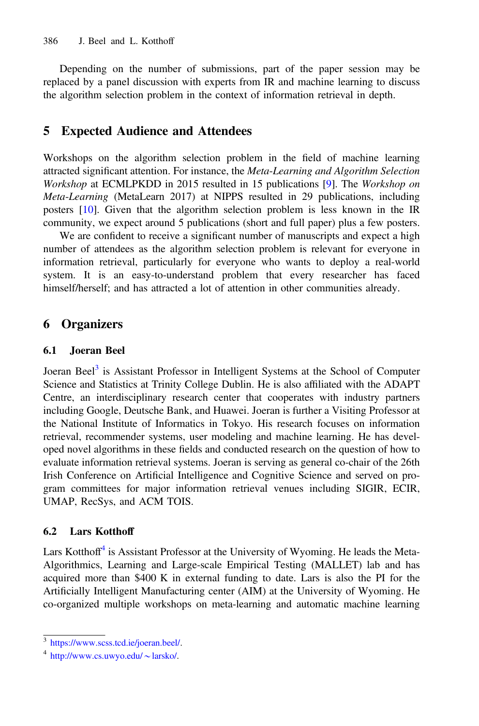Depending on the number of submissions, part of the paper session may be replaced by a panel discussion with experts from IR and machine learning to discuss the algorithm selection problem in the context of information retrieval in depth.

## 5 Expected Audience and Attendees

Workshops on the algorithm selection problem in the field of machine learning attracted significant attention. For instance, the Meta-Learning and Algorithm Selection Workshop at ECMLPKDD in 2015 resulted in 15 publications [\[9](#page-4-0)]. The Workshop on Meta-Learning (MetaLearn 2017) at NIPPS resulted in 29 publications, including posters [[10\]](#page-4-0). Given that the algorithm selection problem is less known in the IR community, we expect around 5 publications (short and full paper) plus a few posters.

We are confident to receive a significant number of manuscripts and expect a high number of attendees as the algorithm selection problem is relevant for everyone in information retrieval, particularly for everyone who wants to deploy a real-world system. It is an easy-to-understand problem that every researcher has faced himself/herself; and has attracted a lot of attention in other communities already.

## 6 Organizers

#### 6.1 Joeran Beel

Joeran Beel<sup>3</sup> is Assistant Professor in Intelligent Systems at the School of Computer Science and Statistics at Trinity College Dublin. He is also affiliated with the ADAPT Centre, an interdisciplinary research center that cooperates with industry partners including Google, Deutsche Bank, and Huawei. Joeran is further a Visiting Professor at the National Institute of Informatics in Tokyo. His research focuses on information retrieval, recommender systems, user modeling and machine learning. He has developed novel algorithms in these fields and conducted research on the question of how to evaluate information retrieval systems. Joeran is serving as general co-chair of the 26th Irish Conference on Artificial Intelligence and Cognitive Science and served on program committees for major information retrieval venues including SIGIR, ECIR, UMAP, RecSys, and ACM TOIS.

#### 6.2 Lars Kotthoff

Lars Kotthoff<sup>4</sup> is Assistant Professor at the University of Wyoming. He leads the Meta-Algorithmics, Learning and Large-scale Empirical Testing (MALLET) lab and has acquired more than \$400 K in external funding to date. Lars is also the PI for the Artificially Intelligent Manufacturing center (AIM) at the University of Wyoming. He co-organized multiple workshops on meta-learning and automatic machine learning

<sup>3</sup> <https://www.scss.tcd.ie/joeran.beel/>.

 $4 \text{ http://www.cs.uwyo.edu/~larsko/}.$  $4 \text{ http://www.cs.uwyo.edu/~larsko/}.$  $4 \text{ http://www.cs.uwyo.edu/~larsko/}.$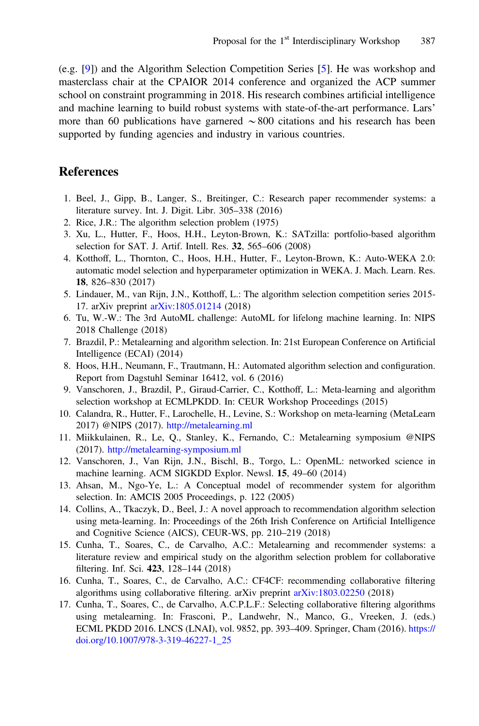<span id="page-4-0"></span>(e.g. [9]) and the Algorithm Selection Competition Series [5]. He was workshop and masterclass chair at the CPAIOR 2014 conference and organized the ACP summer school on constraint programming in 2018. His research combines artificial intelligence and machine learning to build robust systems with state-of-the-art performance. Lars' more than 60 publications have garnered  $\sim 800$  citations and his research has been supported by funding agencies and industry in various countries.

#### **References**

- 1. Beel, J., Gipp, B., Langer, S., Breitinger, C.: Research paper recommender systems: a literature survey. Int. J. Digit. Libr. 305–338 (2016)
- 2. Rice, J.R.: The algorithm selection problem (1975)
- 3. Xu, L., Hutter, F., Hoos, H.H., Leyton-Brown, K.: SATzilla: portfolio-based algorithm selection for SAT. J. Artif. Intell. Res. 32, 565–606 (2008)
- 4. Kotthoff, L., Thornton, C., Hoos, H.H., Hutter, F., Leyton-Brown, K.: Auto-WEKA 2.0: automatic model selection and hyperparameter optimization in WEKA. J. Mach. Learn. Res. 18, 826–830 (2017)
- 5. Lindauer, M., van Rijn, J.N., Kotthoff, L.: The algorithm selection competition series 2015- 17. arXiv preprint [arXiv:1805.01214](http://arxiv.org/abs/1805.01214) (2018)
- 6. Tu, W.-W.: The 3rd AutoML challenge: AutoML for lifelong machine learning. In: NIPS 2018 Challenge (2018)
- 7. Brazdil, P.: Metalearning and algorithm selection. In: 21st European Conference on Artificial Intelligence (ECAI) (2014)
- 8. Hoos, H.H., Neumann, F., Trautmann, H.: Automated algorithm selection and configuration. Report from Dagstuhl Seminar 16412, vol. 6 (2016)
- 9. Vanschoren, J., Brazdil, P., Giraud-Carrier, C., Kotthoff, L.: Meta-learning and algorithm selection workshop at ECMLPKDD. In: CEUR Workshop Proceedings (2015)
- 10. Calandra, R., Hutter, F., Larochelle, H., Levine, S.: Workshop on meta-learning (MetaLearn 2017) @NIPS (2017). <http://metalearning.ml>
- 11. Miikkulainen, R., Le, Q., Stanley, K., Fernando, C.: Metalearning symposium @NIPS (2017). <http://metalearning-symposium.ml>
- 12. Vanschoren, J., Van Rijn, J.N., Bischl, B., Torgo, L.: OpenML: networked science in machine learning. ACM SIGKDD Explor. Newsl. 15, 49–60 (2014)
- 13. Ahsan, M., Ngo-Ye, L.: A Conceptual model of recommender system for algorithm selection. In: AMCIS 2005 Proceedings, p. 122 (2005)
- 14. Collins, A., Tkaczyk, D., Beel, J.: A novel approach to recommendation algorithm selection using meta-learning. In: Proceedings of the 26th Irish Conference on Artificial Intelligence and Cognitive Science (AICS), CEUR-WS, pp. 210–219 (2018)
- 15. Cunha, T., Soares, C., de Carvalho, A.C.: Metalearning and recommender systems: a literature review and empirical study on the algorithm selection problem for collaborative filtering. Inf. Sci. 423, 128–144 (2018)
- 16. Cunha, T., Soares, C., de Carvalho, A.C.: CF4CF: recommending collaborative filtering algorithms using collaborative filtering. arXiv preprint [arXiv:1803.02250](http://arxiv.org/abs/1803.02250) (2018)
- 17. Cunha, T., Soares, C., de Carvalho, A.C.P.L.F.: Selecting collaborative filtering algorithms using metalearning. In: Frasconi, P., Landwehr, N., Manco, G., Vreeken, J. (eds.) ECML PKDD 2016. LNCS (LNAI), vol. 9852, pp. 393–409. Springer, Cham (2016). [https://](http://dx.doi.org/10.1007/978-3-319-46227-1_25) [doi.org/10.1007/978-3-319-46227-1\\_25](http://dx.doi.org/10.1007/978-3-319-46227-1_25)